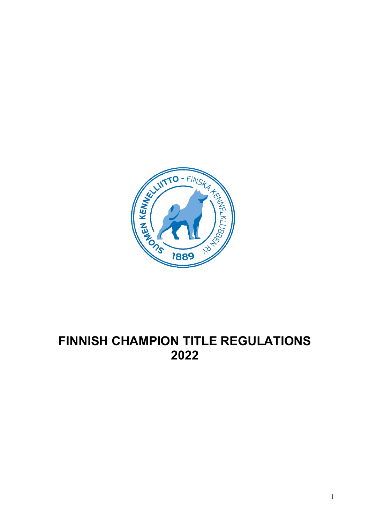

# **FINNISH CHAMPION TITLE REGULATIONS**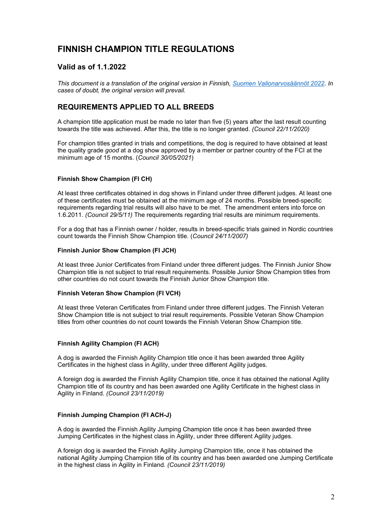# **FINNISH CHAMPION TITLE REGULATIONS**

# **Valid as of 1.1.2022**

*This document is a translation of the original version in Finnish, [Suomen Valionarvosäännöt 2022.](https://www.kennelliitto.fi/lomakkeet/valionarvosaannot-2022) In cases of doubt, the original version will prevail.*

# **REQUIREMENTS APPLIED TO ALL BREEDS**

A champion title application must be made no later than five (5) years after the last result counting towards the title was achieved. After this, the title is no longer granted. *(Council 22/11/2020)*

For champion titles granted in trials and competitions, the dog is required to have obtained at least the quality grade *good* at a dog show approved by a member or partner country of the FCI at the minimum age of 15 months. (*Council 30/05/2021*)

# **Finnish Show Champion (FI CH)**

At least three certificates obtained in dog shows in Finland under three different judges. At least one of these certificates must be obtained at the minimum age of 24 months. Possible breed-specific requirements regarding trial results will also have to be met. The amendment enters into force on 1.6.2011. *(Council 29/5/11)* The requirements regarding trial results are minimum requirements.

For a dog that has a Finnish owner / holder, results in breed-specific trials gained in Nordic countries count towards the Finnish Show Champion title. (*Council 24/11/2007)*

#### **Finnish Junior Show Champion (FI JCH)**

At least three Junior Certificates from Finland under three different judges. The Finnish Junior Show Champion title is not subject to trial result requirements. Possible Junior Show Champion titles from other countries do not count towards the Finnish Junior Show Champion title.

# **Finnish Veteran Show Champion (FI VCH)**

At least three Veteran Certificates from Finland under three different judges. The Finnish Veteran Show Champion title is not subject to trial result requirements. Possible Veteran Show Champion titles from other countries do not count towards the Finnish Veteran Show Champion title.

# **Finnish Agility Champion (FI ACH)**

A dog is awarded the Finnish Agility Champion title once it has been awarded three Agility Certificates in the highest class in Agility, under three different Agility judges.

A foreign dog is awarded the Finnish Agility Champion title, once it has obtained the national Agility Champion title of its country and has been awarded one Agility Certificate in the highest class in Agility in Finland. *(Council 23/11/2019)*

# **Finnish Jumping Champion (FI ACH-J)**

A dog is awarded the Finnish Agility Jumping Champion title once it has been awarded three Jumping Certificates in the highest class in Agility, under three different Agility judges.

A foreign dog is awarded the Finnish Agility Jumping Champion title, once it has obtained the national Agility Jumping Champion title of its country and has been awarded one Jumping Certificate in the highest class in Agility in Finland. *(Council 23/11/2019)*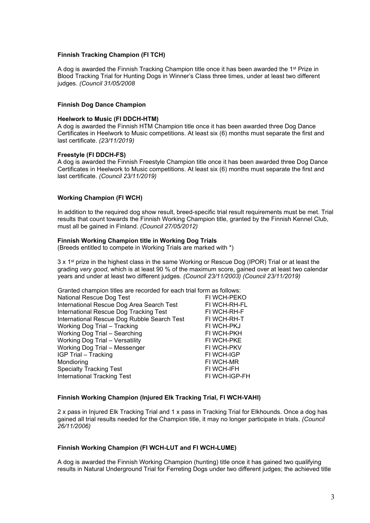#### **Finnish Tracking Champion (FI TCH)**

A dog is awarded the Finnish Tracking Champion title once it has been awarded the 1<sup>st</sup> Prize in Blood Tracking Trial for Hunting Dogs in Winner's Class three times, under at least two different judges. *(Council 31/05/2008*

#### **Finnish Dog Dance Champion**

#### **Heelwork to Music (FI DDCH-HTM)**

A dog is awarded the Finnish HTM Champion title once it has been awarded three Dog Dance Certificates in Heelwork to Music competitions. At least six (6) months must separate the first and last certificate. *(23/11/2019)*

#### **Freestyle (FI DDCH-FS)**

A dog is awarded the Finnish Freestyle Champion title once it has been awarded three Dog Dance Certificates in Heelwork to Music competitions. At least six (6) months must separate the first and last certificate. *(Council 23/11/2019)*

#### **Working Champion (FI WCH)**

In addition to the required dog show result, breed-specific trial result requirements must be met. Trial results that count towards the Finnish Working Champion title, granted by the Finnish Kennel Club, must all be gained in Finland. *(Council 27/05/2012)*

#### **Finnish Working Champion title in Working Dog Trials**

(Breeds entitled to compete in Working Trials are marked with \*)

3 x 1<sup>st</sup> prize in the highest class in the same Working or Rescue Dog (IPOR) Trial or at least the grading *very good*, which is at least 90 % of the maximum score, gained over at least two calendar years and under at least two different judges. *(Council 23/11/2003) (Council 23/11/2019)*

Granted champion titles are recorded for each trial form as follows:

| National Rescue Dog Test                    | FI WCH-PEKO   |
|---------------------------------------------|---------------|
| International Rescue Dog Area Search Test   | FI WCH-RH-FL  |
| International Rescue Dog Tracking Test      | FI WCH-RH-F   |
| International Rescue Dog Rubble Search Test | FI WCH-RH-T   |
| Working Dog Trial - Tracking                | FI WCH-PKJ    |
| Working Dog Trial - Searching               | FI WCH-PKH    |
| <b>Working Dog Trial - Versatility</b>      | FI WCH-PKE    |
| Working Dog Trial - Messenger               | FI WCH-PKV    |
| IGP Trial - Tracking                        | FI WCH-IGP    |
| Mondioring                                  | FI WCH-MR     |
| <b>Specialty Tracking Test</b>              | FI WCH-IFH    |
| <b>International Tracking Test</b>          | FI WCH-IGP-FH |
|                                             |               |

#### **Finnish Working Champion (Injured Elk Tracking Trial, FI WCH-VAHI)**

2 x pass in Injured Elk Tracking Trial and 1 x pass in Tracking Trial for Elkhounds. Once a dog has gained all trial results needed for the Champion title, it may no longer participate in trials. *(Council 26/11/2006)*

#### **Finnish Working Champion (FI WCH-LUT and FI WCH-LUME)**

A dog is awarded the Finnish Working Champion (hunting) title once it has gained two qualifying results in Natural Underground Trial for Ferreting Dogs under two different judges; the achieved title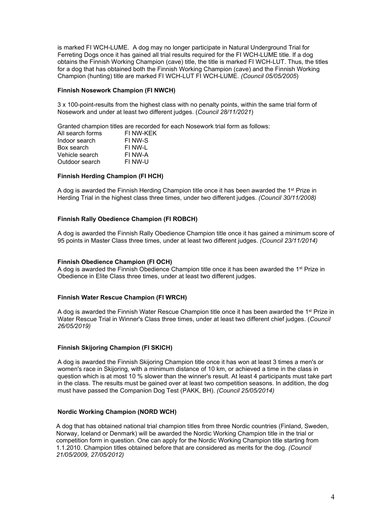is marked FI WCH-LUME. A dog may no longer participate in Natural Underground Trial for Ferreting Dogs once it has gained all trial results required for the FI WCH-LUME title. If a dog obtains the Finnish Working Champion (cave) title, the title is marked FI WCH-LUT. Thus, the titles for a dog that has obtained both the Finnish Working Champion (cave) and the Finnish Working Champion (hunting) title are marked FI WCH-LUT FI WCH-LUME. *(Council 05/05/2005*)

#### **Finnish Nosework Champion (FI NWCH)**

3 x 100-point-results from the highest class with no penalty points, within the same trial form of Nosework and under at least two different judges. (*Council 28/11/2021*)

Granted champion titles are recorded for each Nosework trial form as follows:

| FI NW-KEK |
|-----------|
| FI NW-S   |
| FI NW-L   |
| FI NW-A   |
| FI NW-U   |
|           |

# **Finnish Herding Champion (FI HCH)**

A dog is awarded the Finnish Herding Champion title once it has been awarded the 1<sup>st</sup> Prize in Herding Trial in the highest class three times, under two different judges. *(Council 30/11/2008)*

#### **Finnish Rally Obedience Champion (FI ROBCH)**

A dog is awarded the Finnish Rally Obedience Champion title once it has gained a minimum score of 95 points in Master Class three times, under at least two different judges. *(Council 23/11/2014)*

#### **Finnish Obedience Champion (FI OCH)**

A dog is awarded the Finnish Obedience Champion title once it has been awarded the 1<sup>st</sup> Prize in Obedience in Elite Class three times, under at least two different judges.

#### **Finnish Water Rescue Champion (FI WRCH)**

A dog is awarded the Finnish Water Rescue Champion title once it has been awarded the 1st Prize in Water Rescue Trial in Winner's Class three times, under at least two different chief judges. (*Council 26/05/2019)*

#### **Finnish Skijoring Champion (FI SKICH)**

A dog is awarded the Finnish Skijoring Champion title once it has won at least 3 times a men's or women's race in Skijoring, with a minimum distance of 10 km, or achieved a time in the class in question which is at most 10 % slower than the winner's result. At least 4 participants must take part in the class. The results must be gained over at least two competition seasons. In addition, the dog must have passed the Companion Dog Test (PAKK, BH). *(Council 25/05/2014)*

# **Nordic Working Champion (NORD WCH)**

A dog that has obtained national trial champion titles from three Nordic countries (Finland, Sweden, Norway, Iceland or Denmark) will be awarded the Nordic Working Champion title in the trial or competition form in question. One can apply for the Nordic Working Champion title starting from 1.1.2010. Champion titles obtained before that are considered as merits for the dog. *(Council 21/05/2009, 27/05/2012)*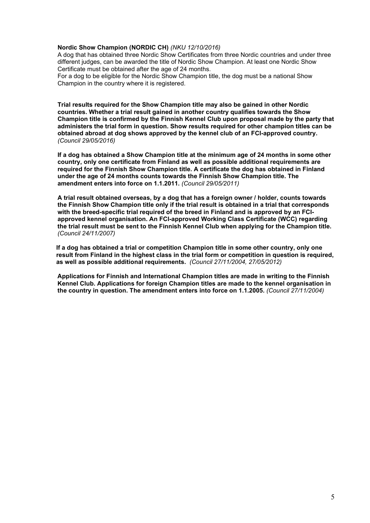# **Nordic Show Champion (NORDIC CH)** *(NKU 12/10/2016)*

A dog that has obtained three Nordic Show Certificates from three Nordic countries and under three different judges, can be awarded the title of Nordic Show Champion. At least one Nordic Show Certificate must be obtained after the age of 24 months.

For a dog to be eligible for the Nordic Show Champion title, the dog must be a national Show Champion in the country where it is registered.

**Trial results required for the Show Champion title may also be gained in other Nordic countries. Whether a trial result gained in another country qualifies towards the Show Champion title is confirmed by the Finnish Kennel Club upon proposal made by the party that administers the trial form in question. Show results required for other champion titles can be obtained abroad at dog shows approved by the kennel club of an FCI-approved country.**  *(Council 29/05/2016)*

**If a dog has obtained a Show Champion title at the minimum age of 24 months in some other country, only one certificate from Finland as well as possible additional requirements are required for the Finnish Show Champion title. A certificate the dog has obtained in Finland under the age of 24 months counts towards the Finnish Show Champion title. The amendment enters into force on 1.1.2011.** *(Council 29/05/2011)*

**A trial result obtained overseas, by a dog that has a foreign owner / holder, counts towards the Finnish Show Champion title only if the trial result is obtained in a trial that corresponds with the breed-specific trial required of the breed in Finland and is approved by an FCIapproved kennel organisation. An FCI-approved Working Class Certificate (WCC) regarding the trial result must be sent to the Finnish Kennel Club when applying for the Champion title.**  *(Council 24/11/2007)*

**If a dog has obtained a trial or competition Champion title in some other country, only one result from Finland in the highest class in the trial form or competition in question is required, as well as possible additional requirements.** *(Council 27/11/2004, 27/05/2012)*

**Applications for Finnish and International Champion titles are made in writing to the Finnish Kennel Club. Applications for foreign Champion titles are made to the kennel organisation in the country in question. The amendment enters into force on 1.1.2005.** *(Council 27/11/2004)*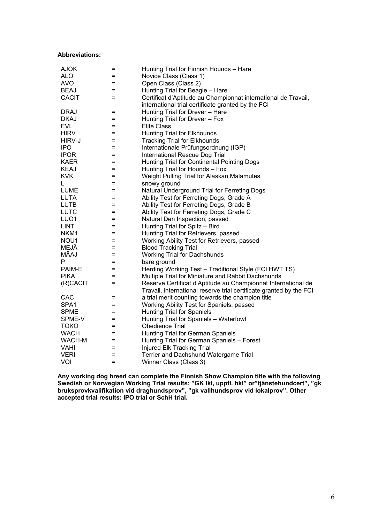#### **Abbreviations:**

| <b>AJOK</b>      | $=$      | Hunting Trial for Finnish Hounds - Hare                             |
|------------------|----------|---------------------------------------------------------------------|
| <b>ALO</b>       | $=$      | Novice Class (Class 1)                                              |
| <b>AVO</b>       | $=$      | Open Class (Class 2)                                                |
| <b>BEAJ</b>      | Ξ        | Hunting Trial for Beagle - Hare                                     |
| <b>CACIT</b>     | $=$      | Certificat d'Aptitude au Championnat international de Travail,      |
|                  |          | international trial certificate granted by the FCI                  |
| <b>DRAJ</b>      | Ξ        | Hunting Trial for Drever - Hare                                     |
| <b>DKAJ</b>      | $=$      | Hunting Trial for Drever - Fox                                      |
| <b>EVL</b>       | Ξ        | <b>Elite Class</b>                                                  |
| <b>HIRV</b>      | $=$      | <b>Hunting Trial for Elkhounds</b>                                  |
| HIRV-J           | $=$      | <b>Tracking Trial for Elkhounds</b>                                 |
| <b>IPO</b>       | Ξ        | Internationale Prüfungsordnung (IGP)                                |
| <b>IPOR</b>      | $=$      | International Rescue Dog Trial                                      |
| <b>KAER</b>      | $=$      | Hunting Trial for Continental Pointing Dogs                         |
| <b>KEAJ</b>      | $=$      | Hunting Trial for Hounds - Fox                                      |
| <b>KVK</b>       | $=$      | Weight Pulling Trial for Alaskan Malamutes                          |
| L                | Ξ        | snowy ground                                                        |
| <b>LUME</b>      | $=$      | Natural Underground Trial for Ferreting Dogs                        |
| <b>LUTA</b>      | $=$      | Ability Test for Ferreting Dogs, Grade A                            |
| <b>LUTB</b>      | $=$      | Ability Test for Ferreting Dogs, Grade B                            |
| <b>LUTC</b>      | $=$      | Ability Test for Ferreting Dogs, Grade C                            |
| LUO <sub>1</sub> | $=$      | Natural Den Inspection, passed                                      |
| <b>LINT</b>      | Ξ        | Hunting Trial for Spitz - Bird                                      |
| NKM <sub>1</sub> | $=$      | Hunting Trial for Retrievers, passed                                |
| NOU1             | $=$      | Working Ability Test for Retrievers, passed                         |
| MEJÄ             | $=$      | <b>Blood Tracking Trial</b>                                         |
| MÄAJ             | Ξ        | <b>Working Trial for Dachshunds</b>                                 |
| P                | $=$      | bare ground                                                         |
| PAIM-E           | $=$      | Herding Working Test - Traditional Style (FCI HWT TS)               |
| <b>PIKA</b>      | $=$      | Multiple Trial for Miniature and Rabbit Dachshunds                  |
| (R)CACIT         | $=$      | Reserve Certificat d'Aptitude au Championnat International de       |
|                  |          | Travail, international reserve trial certificate granted by the FCI |
| CAC              | $=$      | a trial merit counting towards the champion title                   |
| SPA1             | $=$      | Working Ability Test for Spaniels, passed                           |
| <b>SPME</b>      | $=$      | <b>Hunting Trial for Spaniels</b>                                   |
| SPME-V           | $=$      | Hunting Trial for Spaniels - Waterfowl                              |
| <b>TOKO</b>      | Ξ        | Obedience Trial                                                     |
| <b>WACH</b>      | $=$      | Hunting Trial for German Spaniels                                   |
| WACH-M           | $\equiv$ | Hunting Trial for German Spaniels - Forest                          |
| <b>VAHI</b>      | $=$      | Injured Elk Tracking Trial                                          |
| <b>VERI</b>      | $=$      | Terrier and Dachshund Watergame Trial                               |
| VOI              | $=$      | Winner Class (Class 3)                                              |

**Any working dog breed can complete the Finnish Show Champion title with the following Swedish or Norwegian Working Trial results: "GK lkl, uppfl. hkl" or"tjänstehundcert", "gk bruksprovkvalifikation vid draghundsprov", "gk vallhundsprov vid lokalprov". Other accepted trial results: IPO trial or SchH trial.**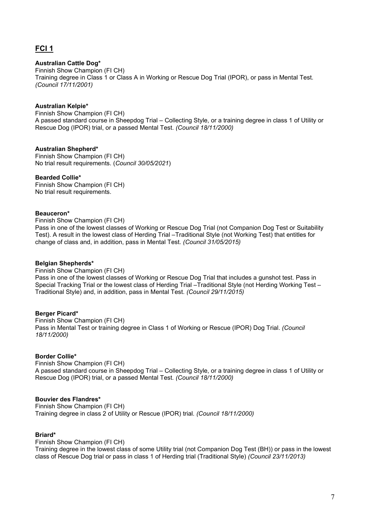# **FCI 1**

# **Australian Cattle Dog\***

Finnish Show Champion (FI CH) Training degree in Class 1 or Class A in Working or Rescue Dog Trial (IPOR), or pass in Mental Test. *(Council 17/11/2001)*

# **Australian Kelpie\***

Finnish Show Champion (FI CH) A passed standard course in Sheepdog Trial – Collecting Style, or a training degree in class 1 of Utility or Rescue Dog (IPOR) trial, or a passed Mental Test. *(Council 18/11/2000)*

# **Australian Shepherd\***

Finnish Show Champion (FI CH) No trial result requirements. (*Council 30/05/2021*)

# **Bearded Collie\***

Finnish Show Champion (FI CH) No trial result requirements.

# **Beauceron\***

Finnish Show Champion (FI CH)

Pass in one of the lowest classes of Working or Rescue Dog Trial (not Companion Dog Test or Suitability Test). A result in the lowest class of Herding Trial –Traditional Style (not Working Test) that entitles for change of class and, in addition, pass in Mental Test. *(Council 31/05/2015)*

# **Belgian Shepherds\***

Finnish Show Champion (FI CH) Pass in one of the lowest classes of Working or Rescue Dog Trial that includes a gunshot test. Pass in Special Tracking Trial or the lowest class of Herding Trial –Traditional Style (not Herding Working Test – Traditional Style) and, in addition, pass in Mental Test. *(Council 29/11/2015)*

# **Berger Picard\***

Finnish Show Champion (FI CH) Pass in Mental Test or training degree in Class 1 of Working or Rescue (IPOR) Dog Trial. *(Council 18/11/2000)*

# **Border Collie\***

Finnish Show Champion (FI CH) A passed standard course in Sheepdog Trial – Collecting Style, or a training degree in class 1 of Utility or Rescue Dog (IPOR) trial, or a passed Mental Test. *(Council 18/11/2000)*

# **Bouvier des Flandres\***

Finnish Show Champion (FI CH) Training degree in class 2 of Utility or Rescue (IPOR) trial. *(Council 18/11/2000)*

# **Briard\***

Finnish Show Champion (FI CH)

Training degree in the lowest class of some Utility trial (not Companion Dog Test (BH)) or pass in the lowest class of Rescue Dog trial or pass in class 1 of Herding trial (Traditional Style) *(Council 23/11/2013)*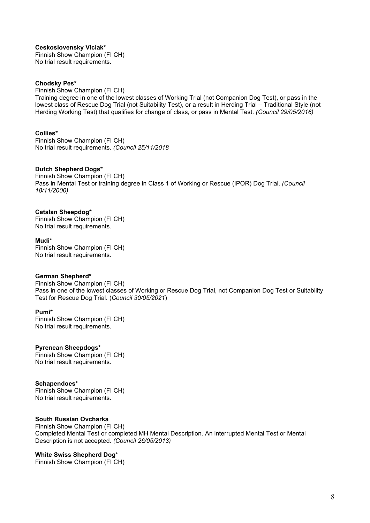**Ceskoslovensky Vlciak\*** Finnish Show Champion (FI CH) No trial result requirements.

#### **Chodsky Pes\***

Finnish Show Champion (FI CH) Training degree in one of the lowest classes of Working Trial (not Companion Dog Test), or pass in the lowest class of Rescue Dog Trial (not Suitability Test), or a result in Herding Trial – Traditional Style (not Herding Working Test) that qualifies for change of class, or pass in Mental Test. *(Council 29/05/2016)*

# **Collies\***

Finnish Show Champion (FI CH) No trial result requirements. *(Council 25/11/2018*

#### **Dutch Shepherd Dogs\***

Finnish Show Champion (FI CH) Pass in Mental Test or training degree in Class 1 of Working or Rescue (IPOR) Dog Trial. *(Council 18/11/2000)*

#### **Catalan Sheepdog\***

Finnish Show Champion (FI CH) No trial result requirements.

#### **Mudi\***

Finnish Show Champion (FI CH) No trial result requirements.

#### **German Shepherd\***

Finnish Show Champion (FI CH) Pass in one of the lowest classes of Working or Rescue Dog Trial, not Companion Dog Test or Suitability Test for Rescue Dog Trial. (*Council 30/05/2021*)

#### **Pumi\***

Finnish Show Champion (FI CH) No trial result requirements.

#### **Pyrenean Sheepdogs\***

Finnish Show Champion (FI CH) No trial result requirements.

#### **Schapendoes\***

Finnish Show Champion (FI CH) No trial result requirements.

#### **South Russian Ovcharka**

Finnish Show Champion (FI CH) Completed Mental Test or completed MH Mental Description. An interrupted Mental Test or Mental Description is not accepted. *(Council 26/05/2013)*

#### **White Swiss Shepherd Dog\***

Finnish Show Champion (FI CH)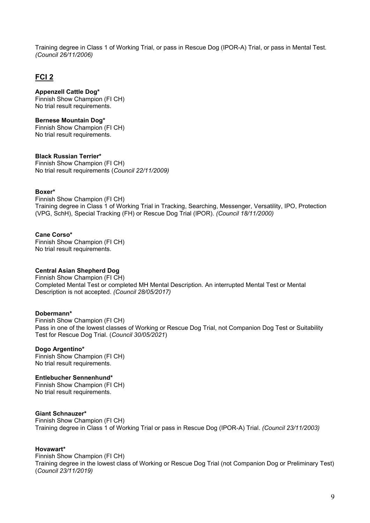Training degree in Class 1 of Working Trial, or pass in Rescue Dog (IPOR-A) Trial, or pass in Mental Test. *(Council 26/11/2006)*

# **FCI 2**

# **Appenzell Cattle Dog\***

Finnish Show Champion (FI CH) No trial result requirements.

# **Bernese Mountain Dog\***

Finnish Show Champion (FI CH) No trial result requirements.

# **Black Russian Terrier\***

Finnish Show Champion (FI CH) No trial result requirements (*Council 22/11/2009)*

# **Boxer\***

Finnish Show Champion (FI CH) Training degree in Class 1 of Working Trial in Tracking, Searching, Messenger, Versatility, IPO, Protection (VPG, SchH), Special Tracking (FH) or Rescue Dog Trial (IPOR). *(Council 18/11/2000)*

# **Cane Corso\***

Finnish Show Champion (FI CH) No trial result requirements.

# **Central Asian Shepherd Dog**

Finnish Show Champion (FI CH) Completed Mental Test or completed MH Mental Description. An interrupted Mental Test or Mental Description is not accepted. *(Council 28/05/2017)*

# **Dobermann\***

Finnish Show Champion (FI CH) Pass in one of the lowest classes of Working or Rescue Dog Trial, not Companion Dog Test or Suitability Test for Rescue Dog Trial. (*Council 30/05/2021*)

# **Dogo Argentino\***

Finnish Show Champion (FI CH) No trial result requirements.

# **Entlebucher Sennenhund\***

Finnish Show Champion (FI CH) No trial result requirements.

# **Giant Schnauzer\***

Finnish Show Champion (FI CH) Training degree in Class 1 of Working Trial or pass in Rescue Dog (IPOR-A) Trial. *(Council 23/11/2003)*

# **Hovawart\***

Finnish Show Champion (FI CH) Training degree in the lowest class of Working or Rescue Dog Trial (not Companion Dog or Preliminary Test) (*Council 23/11/2019)*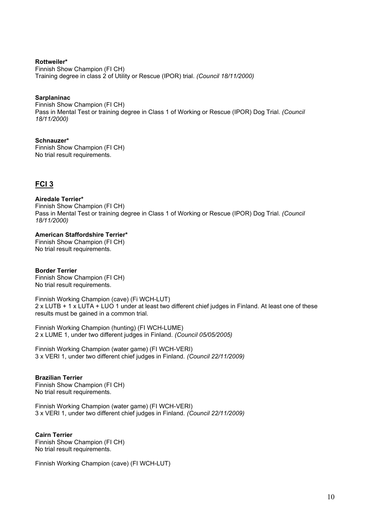**Rottweiler\*** Finnish Show Champion (FI CH) Training degree in class 2 of Utility or Rescue (IPOR) trial. *(Council 18/11/2000)*

# **Sarplaninac**

Finnish Show Champion (FI CH) Pass in Mental Test or training degree in Class 1 of Working or Rescue (IPOR) Dog Trial. *(Council 18/11/2000)*

# **Schnauzer\***

Finnish Show Champion (FI CH) No trial result requirements.

# **FCI 3**

#### **Airedale Terrier\***

Finnish Show Champion (FI CH) Pass in Mental Test or training degree in Class 1 of Working or Rescue (IPOR) Dog Trial. *(Council 18/11/2000)*

# **American Staffordshire Terrier\***

Finnish Show Champion (FI CH) No trial result requirements.

# **Border Terrier**

Finnish Show Champion (FI CH) No trial result requirements.

Finnish Working Champion (cave) (Fi WCH-LUT) 2 x LUTB + 1 x LUTA + LUO 1 under at least two different chief judges in Finland. At least one of these results must be gained in a common trial.

Finnish Working Champion (hunting) (FI WCH-LUME) 2 x LUME 1, under two different judges in Finland. *(Council 05/05/2005)*

Finnish Working Champion (water game) (FI WCH-VERI) 3 x VERI 1, under two different chief judges in Finland. *(Council 22/11/2009)*

# **Brazilian Terrier**

Finnish Show Champion (FI CH) No trial result requirements.

Finnish Working Champion (water game) (FI WCH-VERI) 3 x VERI 1, under two different chief judges in Finland. *(Council 22/11/2009)*

# **Cairn Terrier**

Finnish Show Champion (FI CH) No trial result requirements.

Finnish Working Champion (cave) (FI WCH-LUT)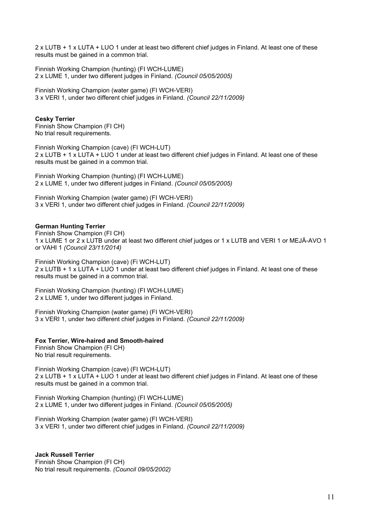2 x LUTB + 1 x LUTA + LUO 1 under at least two different chief judges in Finland. At least one of these results must be gained in a common trial.

Finnish Working Champion (hunting) (FI WCH-LUME) 2 x LUME 1, under two different judges in Finland. *(Council 05/05/2005)*

Finnish Working Champion (water game) (FI WCH-VERI) 3 x VERI 1, under two different chief judges in Finland. *(Council 22/11/2009)*

# **Cesky Terrier**

Finnish Show Champion (FI CH) No trial result requirements.

Finnish Working Champion (cave) (FI WCH-LUT) 2 x LUTB + 1 x LUTA + LUO 1 under at least two different chief judges in Finland. At least one of these results must be gained in a common trial.

Finnish Working Champion (hunting) (FI WCH-LUME) 2 x LUME 1, under two different judges in Finland. *(Council 05/05/2005)*

Finnish Working Champion (water game) (FI WCH-VERI) 3 x VERI 1, under two different chief judges in Finland. *(Council 22/11/2009)*

#### **German Hunting Terrier**

Finnish Show Champion (FI CH) 1 x LUME 1 or 2 x LUTB under at least two different chief judges or 1 x LUTB and VERI 1 or MEJÄ-AVO 1 or VAHI 1 *(Council 23/11/2014)*

Finnish Working Champion (cave) (Fi WCH-LUT) 2 x LUTB + 1 x LUTA + LUO 1 under at least two different chief judges in Finland. At least one of these results must be gained in a common trial.

Finnish Working Champion (hunting) (FI WCH-LUME) 2 x LUME 1, under two different judges in Finland.

Finnish Working Champion (water game) (FI WCH-VERI) 3 x VERI 1, under two different chief judges in Finland. *(Council 22/11/2009)*

# **Fox Terrier, Wire-haired and Smooth-haired**

Finnish Show Champion (FI CH) No trial result requirements.

Finnish Working Champion (cave) (FI WCH-LUT) 2 x LUTB + 1 x LUTA + LUO 1 under at least two different chief judges in Finland. At least one of these results must be gained in a common trial.

Finnish Working Champion (hunting) (FI WCH-LUME) 2 x LUME 1, under two different judges in Finland. *(Council 05/05/2005)*

Finnish Working Champion (water game) (FI WCH-VERI) 3 x VERI 1, under two different chief judges in Finland. *(Council 22/11/2009)*

**Jack Russell Terrier** Finnish Show Champion (FI CH) No trial result requirements. *(Council 09/05/2002)*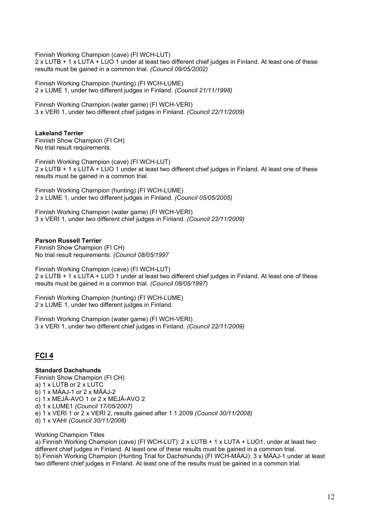Finnish Working Champion (cave) (FI WCH-LUT)

2 x LUTB + 1 x LUTA + LUO 1 under at least two different chief judges in Finland. At least one of these results must be gained in a common trial. *(Council 09/05/2002)*

Finnish Working Champion (hunting) (FI WCH-LUME) 2 x LUME 1, under two different judges in Finland. *(Council 21/11/1998)*

Finnish Working Champion (water game) (FI WCH-VERI) 3 x VERI 1, under two different chief judges in Finland. *(Council 22/11/2009)*

**Lakeland Terrier** Finnish Show Champion (FI CH) No trial result requirements.

Finnish Working Champion (cave) (FI WCH-LUT) 2 x LUTB + 1 x LUTA + LUO 1 under at least two different chief judges in Finland. At least one of these results must be gained in a common trial.

Finnish Working Champion (hunting) (FI WCH-LUME) 2 x LUME 1, under two different judges in Finland. *(Council 05/05/2005)*

Finnish Working Champion (water game) (FI WCH-VERI) 3 x VERI 1, under two different chief judges in Finland. *(Council 22/11/2009)*

# **Parson Russell Terrier**

Finnish Show Champion (FI CH) No trial result requirements. *(Council 08/05/1997*

Finnish Working Champion (cave) (FI WCH-LUT) 2 x LUTB + 1 x LUTA + LUO 1 under at least two different chief judges in Finland. At least one of these results must be gained in a common trial. *(Council 08/05/1997)*

Finnish Working Champion (hunting) (FI WCH-LUME) 2 x LUME 1, under two different judges in Finland.

Finnish Working Champion (water game) (FI WCH-VERI) 3 x VERI 1, under two different chief judges in Finland. *(Council 22/11/2009)*

# **FCI 4**

# **Standard Dachshunds**

Finnish Show Champion (FI CH) a) 1 x LUTB or 2 x LUTC b) 1 x MÄAJ-1 or 2 x MÄAJ-2 c) 1 x MEJÄ-AVO 1 or 2 x MEJÄ-AVO 2 d) 1 x LUME1 *(Council 17/05/2007)* e) 1 x VERI 1 or 2 x VERI 2, results gained after 1.1.2009 *(Council 30/11/2008)* d) 1 x VAHI *(Council 30/11/2008)*

# Working Champion Titles

a) Finnish Working Champion (cave) (FI WCH-LUT): 2 x LUTB + 1 x LUTA + LUO1, under at least two different chief judges in Finland. At least one of these results must be gained in a common trial. b) Finnish Working Champion (Hunting Trial for Dachshunds) (FI WCH-MÄAJ): 3 x MÄAJ-1 under at least two different chief judges in Finland. At least one of the results must be gained in a common trial.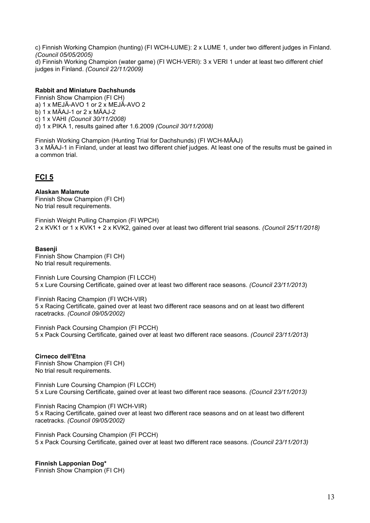c) Finnish Working Champion (hunting) (FI WCH-LUME): 2 x LUME 1, under two different judges in Finland. *(Council 05/05/2005)* d) Finnish Working Champion (water game) (FI WCH-VERI): 3 x VERI 1 under at least two different chief judges in Finland. *(Council 22/11/2009)*

# **Rabbit and Miniature Dachshunds**

Finnish Show Champion (FI CH) a) 1 x MEJÄ-AVO 1 or 2 x MEJÄ-AVO 2 b) 1 x MÄAJ-1 or 2 x MÄAJ-2 c) 1 x VAHI *(Council 30/11/2008)* d) 1 x PIKA 1, results gained after 1.6.2009 *(Council 30/11/2008)*

Finnish Working Champion (Hunting Trial for Dachshunds) (FI WCH-MÄAJ) 3 x MÄAJ-1 in Finland, under at least two different chief judges. At least one of the results must be gained in a common trial.

# **FCI 5**

**Alaskan Malamute** Finnish Show Champion (FI CH) No trial result requirements.

Finnish Weight Pulling Champion (FI WPCH) 2 x KVK1 or 1 x KVK1 + 2 x KVK2, gained over at least two different trial seasons. *(Council 25/11/2018)*

# **Basenji**

Finnish Show Champion (FI CH) No trial result requirements.

Finnish Lure Coursing Champion (FI LCCH) 5 x Lure Coursing Certificate, gained over at least two different race seasons. *(Council 23/11/2013*)

Finnish Racing Champion (FI WCH-VIR) 5 x Racing Certificate, gained over at least two different race seasons and on at least two different racetracks. *(Council 09/05/2002)*

Finnish Pack Coursing Champion (FI PCCH) 5 x Pack Coursing Certificate, gained over at least two different race seasons. *(Council 23/11/2013)*

**Cirneco dell'Etna** Finnish Show Champion (FI CH) No trial result requirements.

Finnish Lure Coursing Champion (FI LCCH) 5 x Lure Coursing Certificate, gained over at least two different race seasons. *(Council 23/11/2013)*

Finnish Racing Champion (FI WCH-VIR) 5 x Racing Certificate, gained over at least two different race seasons and on at least two different racetracks. *(Council 09/05/2002)*

Finnish Pack Coursing Champion (FI PCCH) 5 x Pack Coursing Certificate, gained over at least two different race seasons. *(Council 23/11/2013)*

# **Finnish Lapponian Dog\***

Finnish Show Champion (FI CH)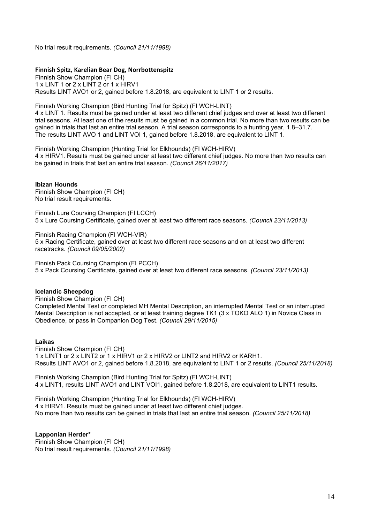No trial result requirements. *(Council 21/11/1998)*

# **Finnish Spitz, Karelian Bear Dog, Norrbottenspitz**

Finnish Show Champion (FI CH) 1 x LINT 1 or 2 x LINT 2 or 1 x HIRV1 Results LINT AVO1 or 2, gained before 1.8.2018, are equivalent to LINT 1 or 2 results.

Finnish Working Champion (Bird Hunting Trial for Spitz) (FI WCH-LINT)

4 x LINT 1. Results must be gained under at least two different chief judges and over at least two different trial seasons. At least one of the results must be gained in a common trial. No more than two results can be gained in trials that last an entire trial season. A trial season corresponds to a hunting year, 1.8–31.7. The results LINT AVO 1 and LINT VOI 1, gained before 1.8.2018, are equivalent to LINT 1.

Finnish Working Champion (Hunting Trial for Elkhounds) (FI WCH-HIRV) 4 x HIRV1. Results must be gained under at least two different chief judges. No more than two results can be gained in trials that last an entire trial season. *(Council 26/11/2017)*

#### **Ibizan Hounds**

Finnish Show Champion (FI CH) No trial result requirements.

Finnish Lure Coursing Champion (FI LCCH) 5 x Lure Coursing Certificate, gained over at least two different race seasons. *(Council 23/11/2013)*

Finnish Racing Champion (FI WCH-VIR) 5 x Racing Certificate, gained over at least two different race seasons and on at least two different racetracks. *(Council 09/05/2002)*

Finnish Pack Coursing Champion (FI PCCH) 5 x Pack Coursing Certificate, gained over at least two different race seasons. *(Council 23/11/2013)*

# **Icelandic Sheepdog**

Finnish Show Champion (FI CH) Completed Mental Test or completed MH Mental Description, an interrupted Mental Test or an interrupted Mental Description is not accepted, or at least training degree TK1 (3 x TOKO ALO 1) in Novice Class in Obedience, or pass in Companion Dog Test. *(Council 29/11/2015)*

#### **Laikas**

Finnish Show Champion (FI CH) 1 x LINT1 or 2 x LINT2 or 1 x HIRV1 or 2 x HIRV2 or LINT2 and HIRV2 or KARH1. Results LINT AVO1 or 2, gained before 1.8.2018, are equivalent to LINT 1 or 2 results. *(Council 25/11/2018)*

Finnish Working Champion (Bird Hunting Trial for Spitz) (FI WCH-LINT) 4 x LINT1, results LINT AVO1 and LINT VOI1, gained before 1.8.2018, are equivalent to LINT1 results.

Finnish Working Champion (Hunting Trial for Elkhounds) (FI WCH-HIRV) 4 x HIRV1. Results must be gained under at least two different chief judges. No more than two results can be gained in trials that last an entire trial season. *(Council 25/11/2018)*

# **Lapponian Herder\***

Finnish Show Champion (FI CH) No trial result requirements. *(Council 21/11/1998)*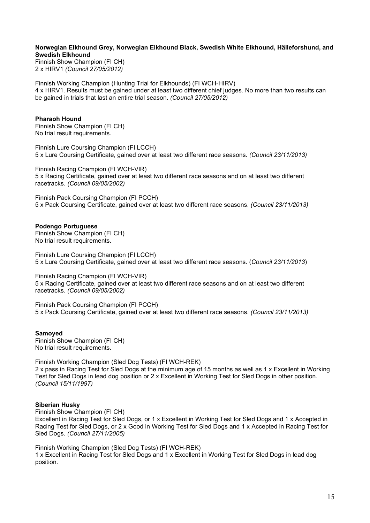#### **Norwegian Elkhound Grey, Norwegian Elkhound Black, Swedish White Elkhound, Hälleforshund, and Swedish Elkhound**

Finnish Show Champion (FI CH) 2 x HIRV1 *(Council 27/05/2012)*

Finnish Working Champion (Hunting Trial for Elkhounds) (FI WCH-HIRV) 4 x HIRV1. Results must be gained under at least two different chief judges. No more than two results can be gained in trials that last an entire trial season. *(Council 27/05/2012)*

# **Pharaoh Hound**

Finnish Show Champion (FI CH) No trial result requirements.

Finnish Lure Coursing Champion (FI LCCH) 5 x Lure Coursing Certificate, gained over at least two different race seasons. *(Council 23/11/2013)*

Finnish Racing Champion (FI WCH-VIR) 5 x Racing Certificate, gained over at least two different race seasons and on at least two different racetracks. *(Council 09/05/2002)*

Finnish Pack Coursing Champion (FI PCCH) 5 x Pack Coursing Certificate, gained over at least two different race seasons. *(Council 23/11/2013)*

#### **Podengo Portuguese**

Finnish Show Champion (FI CH) No trial result requirements.

Finnish Lure Coursing Champion (FI LCCH) 5 x Lure Coursing Certificate, gained over at least two different race seasons. (*Council 23/11/2013*)

Finnish Racing Champion (FI WCH-VIR) 5 x Racing Certificate, gained over at least two different race seasons and on at least two different racetracks. *(Council 09/05/2002)*

Finnish Pack Coursing Champion (FI PCCH) 5 x Pack Coursing Certificate, gained over at least two different race seasons. *(Council 23/11/2013)*

#### **Samoyed**

Finnish Show Champion (FI CH) No trial result requirements.

Finnish Working Champion (Sled Dog Tests) (FI WCH-REK) 2 x pass in Racing Test for Sled Dogs at the minimum age of 15 months as well as 1 x Excellent in Working Test for Sled Dogs in lead dog position or 2 x Excellent in Working Test for Sled Dogs in other position. *(Council 15/11/1997)*

# **Siberian Husky**

Finnish Show Champion (FI CH)

Excellent in Racing Test for Sled Dogs, or 1 x Excellent in Working Test for Sled Dogs and 1 x Accepted in Racing Test for Sled Dogs, or 2 x Good in Working Test for Sled Dogs and 1 x Accepted in Racing Test for Sled Dogs. *(Council 27/11/2005)*

Finnish Working Champion (Sled Dog Tests) (FI WCH-REK) 1 x Excellent in Racing Test for Sled Dogs and 1 x Excellent in Working Test for Sled Dogs in lead dog position.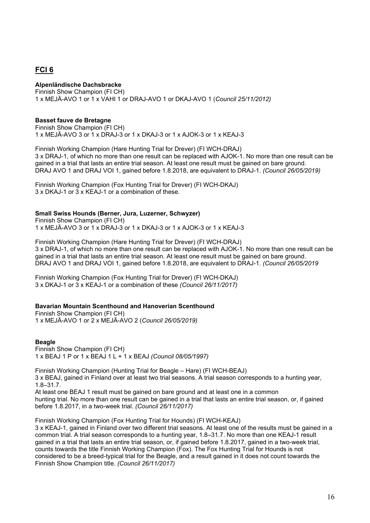# **FCI 6**

**Alpenländische Dachsbracke** Finnish Show Champion (FI CH) 1 x MEJÄ-AVO 1 or 1 x VAHI 1 or DRAJ-AVO 1 or DKAJ-AVO 1 (*Council 25/11/2012)*

# **Basset fauve de Bretagne**

Finnish Show Champion (FI CH) 1 x MEJÄ-AVO 3 or 1 x DRAJ-3 or 1 x DKAJ-3 or 1 x AJOK-3 or 1 x KEAJ-3

Finnish Working Champion (Hare Hunting Trial for Drever) (FI WCH-DRAJ) 3 x DRAJ-1, of which no more than one result can be replaced with AJOK-1. No more than one result can be gained in a trial that lasts an entire trial season. At least one result must be gained on bare ground. DRAJ AVO 1 and DRAJ VOI 1, gained before 1.8.2018, are equivalent to DRAJ-1. *(Council 26/05/2019)*

Finnish Working Champion (Fox Hunting Trial for Drever) (FI WCH-DKAJ) 3 x DKAJ-1 or 3 x KEAJ-1 or a combination of these.

#### **Small Swiss Hounds (Berner, Jura, Luzerner, Schwyzer)**

Finnish Show Champion (FI CH) 1 x MEJÄ-AVO 3 or 1 x DRAJ-3 or 1 x DKAJ-3 or 1 x AJOK-3 or 1 x KEAJ-3

Finnish Working Champion (Hare Hunting Trial for Drever) (FI WCH-DRAJ) 3 x DRAJ-1, of which no more than one result can be replaced with AJOK-1. No more than one result can be gained in a trial that lasts an entire trial season. At least one result must be gained on bare ground. DRAJ AVO 1 and DRAJ VOI 1, gained before 1.8.2018, are equivalent to DRAJ-1. *(Council 26/05/2019*

Finnish Working Champion (Fox Hunting Trial for Drever) (FI WCH-DKAJ) 3 x DKAJ-1 or 3 x KEAJ-1 or a combination of these *(Council 26/11/2017)*

# **Bavarian Mountain Scenthound and Hanoverian Scenthound**

Finnish Show Champion (FI CH) 1 x MEJÄ-AVO 1 or 2 x MEJÄ-AVO 2 (*Council 26/05/2019)*

# **Beagle**

Finnish Show Champion (FI CH) 1 x BEAJ 1 P or 1 x BEAJ 1 L + 1 x BEAJ *(Council 08/05/1997)*

Finnish Working Champion (Hunting Trial for Beagle – Hare) (FI WCH-BEAJ) 3 x BEAJ, gained in Finland over at least two trial seasons. A trial season corresponds to a hunting year, 1.8–31.7. At least one BEAJ 1 result must be gained on bare ground and at least one in a common

hunting trial. No more than one result can be gained in a trial that lasts an entire trial season, or, if gained before 1.8.2017, in a two-week trial. *(Council 26/11/2017)*

Finnish Working Champion (Fox Hunting Trial for Hounds) (FI WCH-KEAJ)

3 x KEAJ-1, gained in Finland over two different trial seasons. At least one of the results must be gained in a common trial. A trial season corresponds to a hunting year, 1.8–31.7. No more than one KEAJ-1 result gained in a trial that lasts an entire trial season, or, if gained before 1.8.2017, gained in a two-week trial, counts towards the title Finnish Working Champion (Fox). The Fox Hunting Trial for Hounds is not considered to be a breed-typical trial for the Beagle, and a result gained in it does not count towards the Finnish Show Champion title. *(Council 26/11/2017)*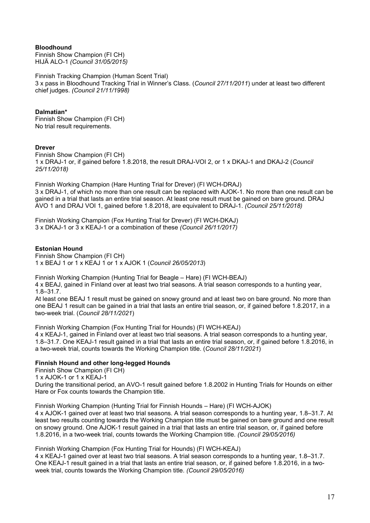# **Bloodhound**

Finnish Show Champion (FI CH) HIJÄ ALO-1 *(Council 31/05/2015)*

Finnish Tracking Champion (Human Scent Trial) 3 x pass in Bloodhound Tracking Trial in Winner's Class. (*Council 27/11/2011*) under at least two different chief judges. *(Council 21/11/1998)*

# **Dalmatian\***

Finnish Show Champion (FI CH) No trial result requirements.

# **Drever**

Finnish Show Champion (FI CH) 1 x DRAJ-1 or, if gained before 1.8.2018, the result DRAJ-VOI 2, or 1 x DKAJ-1 and DKAJ-2 (*Council 25/11/2018)*

Finnish Working Champion (Hare Hunting Trial for Drever) (FI WCH-DRAJ) 3 x DRAJ-1, of which no more than one result can be replaced with AJOK-1. No more than one result can be gained in a trial that lasts an entire trial season. At least one result must be gained on bare ground. DRAJ AVO 1 and DRAJ VOI 1, gained before 1.8.2018, are equivalent to DRAJ-1. *(Council 25/11/2018)*

Finnish Working Champion (Fox Hunting Trial for Drever) (FI WCH-DKAJ) 3 x DKAJ-1 or 3 x KEAJ-1 or a combination of these *(Council 26/11/2017)*

# **Estonian Hound**

Finnish Show Champion (FI CH) 1 x BEAJ 1 or 1 x KEAJ 1 or 1 x AJOK 1 (*Council 26/05/2013*)

Finnish Working Champion (Hunting Trial for Beagle – Hare) (FI WCH-BEAJ)

4 x BEAJ, gained in Finland over at least two trial seasons. A trial season corresponds to a hunting year, 1.8–31.7.

At least one BEAJ 1 result must be gained on snowy ground and at least two on bare ground. No more than one BEAJ 1 result can be gained in a trial that lasts an entire trial season, or, if gained before 1.8.2017, in a two-week trial. (*Council 28/11/2021*)

Finnish Working Champion (Fox Hunting Trial for Hounds) (FI WCH-KEAJ)

4 x KEAJ-1, gained in Finland over at least two trial seasons. A trial season corresponds to a hunting year, 1.8–31.7. One KEAJ-1 result gained in a trial that lasts an entire trial season, or, if gained before 1.8.2016, in a two-week trial, counts towards the Working Champion title. (*Council 28/11/2021*)

# **Finnish Hound and other long-legged Hounds**

Finnish Show Champion (FI CH) 1 x AJOK-1 or 1 x KEAJ-1

During the transitional period, an AVO-1 result gained before 1.8.2002 in Hunting Trials for Hounds on either Hare or Fox counts towards the Champion title.

Finnish Working Champion (Hunting Trial for Finnish Hounds – Hare) (FI WCH-AJOK) 4 x AJOK-1 gained over at least two trial seasons. A trial season corresponds to a hunting year, 1.8–31.7. At least two results counting towards the Working Champion title must be gained on bare ground and one result on snowy ground. One AJOK-1 result gained in a trial that lasts an entire trial season, or, if gained before 1.8.2016, in a two-week trial, counts towards the Working Champion title. *(Council 29/05/2016)*

Finnish Working Champion (Fox Hunting Trial for Hounds) (FI WCH-KEAJ)

4 x KEAJ-1 gained over at least two trial seasons. A trial season corresponds to a hunting year, 1.8–31.7. One KEAJ-1 result gained in a trial that lasts an entire trial season, or, if gained before 1.8.2016, in a twoweek trial, counts towards the Working Champion title. *(Council 29/05/2016)*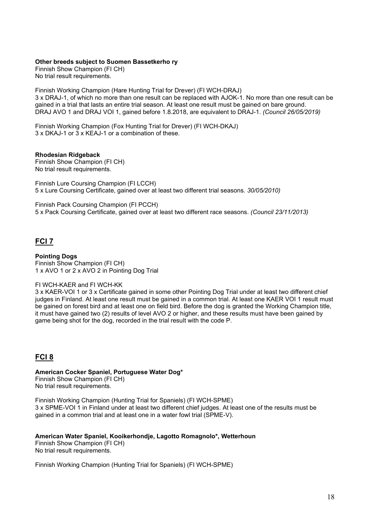#### **Other breeds subject to Suomen Bassetkerho ry**

Finnish Show Champion (FI CH) No trial result requirements.

Finnish Working Champion (Hare Hunting Trial for Drever) (FI WCH-DRAJ) 3 x DRAJ-1, of which no more than one result can be replaced with AJOK-1. No more than one result can be gained in a trial that lasts an entire trial season. At least one result must be gained on bare ground. DRAJ AVO 1 and DRAJ VOI 1, gained before 1.8.2018, are equivalent to DRAJ-1. *(Council 26/05/2019)*

Finnish Working Champion (Fox Hunting Trial for Drever) (FI WCH-DKAJ) 3 x DKAJ-1 or 3 x KEAJ-1 or a combination of these.

#### **Rhodesian Ridgeback**

Finnish Show Champion (FI CH) No trial result requirements.

Finnish Lure Coursing Champion (FI LCCH) 5 x Lure Coursing Certificate, gained over at least two different trial seasons. *30/05/2010)*

Finnish Pack Coursing Champion (FI PCCH) 5 x Pack Coursing Certificate, gained over at least two different race seasons. *(Council 23/11/2013)*

# **FCI 7**

**Pointing Dogs** Finnish Show Champion (FI CH) 1 x AVO 1 or 2 x AVO 2 in Pointing Dog Trial

# FI WCH-KAER and FI WCH-KK

3 x KAER-VOI 1 or 3 x Certificate gained in some other Pointing Dog Trial under at least two different chief judges in Finland. At least one result must be gained in a common trial. At least one KAER VOI 1 result must be gained on forest bird and at least one on field bird. Before the dog is granted the Working Champion title, it must have gained two (2) results of level AVO 2 or higher, and these results must have been gained by game being shot for the dog, recorded in the trial result with the code P.

# **FCI 8**

# **American Cocker Spaniel, Portuguese Water Dog\***

Finnish Show Champion (FI CH) No trial result requirements.

Finnish Working Champion (Hunting Trial for Spaniels) (FI WCH-SPME) 3 x SPME-VOI 1 in Finland under at least two different chief judges. At least one of the results must be gained in a common trial and at least one in a water fowl trial (SPME-V).

# **American Water Spaniel, Kooikerhondje, Lagotto Romagnolo\*, Wetterhoun**

Finnish Show Champion (FI CH) No trial result requirements.

Finnish Working Champion (Hunting Trial for Spaniels) (FI WCH-SPME)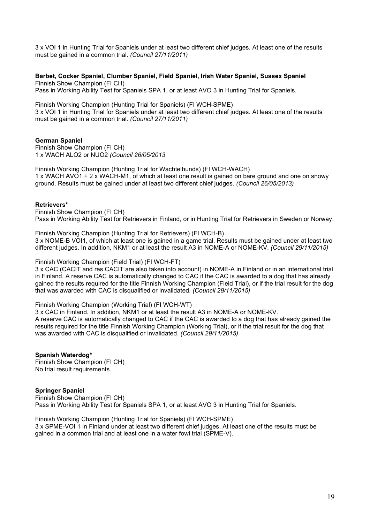3 x VOI 1 in Hunting Trial for Spaniels under at least two different chief judges. At least one of the results must be gained in a common trial. *(Council 27/11/2011)*

**Barbet, Cocker Spaniel, Clumber Spaniel, Field Spaniel, Irish Water Spaniel, Sussex Spaniel**  Finnish Show Champion (FI CH)

Pass in Working Ability Test for Spaniels SPA 1, or at least AVO 3 in Hunting Trial for Spaniels.

Finnish Working Champion (Hunting Trial for Spaniels) (FI WCH-SPME) 3 x VOI 1 in Hunting Trial for Spaniels under at least two different chief judges. At least one of the results must be gained in a common trial. *(Council 27/11/2011)*

#### **German Spaniel**

Finnish Show Champion (FI CH) 1 x WACH ALO2 or NUO2 *(Council 26/05/2013*

Finnish Working Champion (Hunting Trial for Wachtelhunds) (FI WCH-WACH) 1 x WACH AVO1 + 2 x WACH-M1, of which at least one result is gained on bare ground and one on snowy ground. Results must be gained under at least two different chief judges. *(Council 26/05/2013)*

#### **Retrievers\***

Finnish Show Champion (FI CH) Pass in Working Ability Test for Retrievers in Finland, or in Hunting Trial for Retrievers in Sweden or Norway.

Finnish Working Champion (Hunting Trial for Retrievers) (FI WCH-B) 3 x NOME-B VOI1, of which at least one is gained in a game trial. Results must be gained under at least two different judges. In addition, NKM1 or at least the result A3 in NOME-A or NOME-KV. *(Council 29/11/2015)*

#### Finnish Working Champion (Field Trial) (FI WCH-FT)

3 x CAC (CACIT and res CACIT are also taken into account) in NOME-A in Finland or in an international trial in Finland. A reserve CAC is automatically changed to CAC if the CAC is awarded to a dog that has already gained the results required for the title Finnish Working Champion (Field Trial), or if the trial result for the dog that was awarded with CAC is disqualified or invalidated. *(Council 29/11/2015)*

#### Finnish Working Champion (Working Trial) (FI WCH-WT)

3 x CAC in Finland. In addition, NKM1 or at least the result A3 in NOME-A or NOME-KV. A reserve CAC is automatically changed to CAC if the CAC is awarded to a dog that has already gained the results required for the title Finnish Working Champion (Working Trial), or if the trial result for the dog that was awarded with CAC is disqualified or invalidated. *(Council 29/11/2015)*

**Spanish Waterdog\*** Finnish Show Champion (FI CH) No trial result requirements.

# **Springer Spaniel**

Finnish Show Champion (FI CH) Pass in Working Ability Test for Spaniels SPA 1, or at least AVO 3 in Hunting Trial for Spaniels.

Finnish Working Champion (Hunting Trial for Spaniels) (FI WCH-SPME) 3 x SPME-VOI 1 in Finland under at least two different chief judges. At least one of the results must be gained in a common trial and at least one in a water fowl trial (SPME-V).